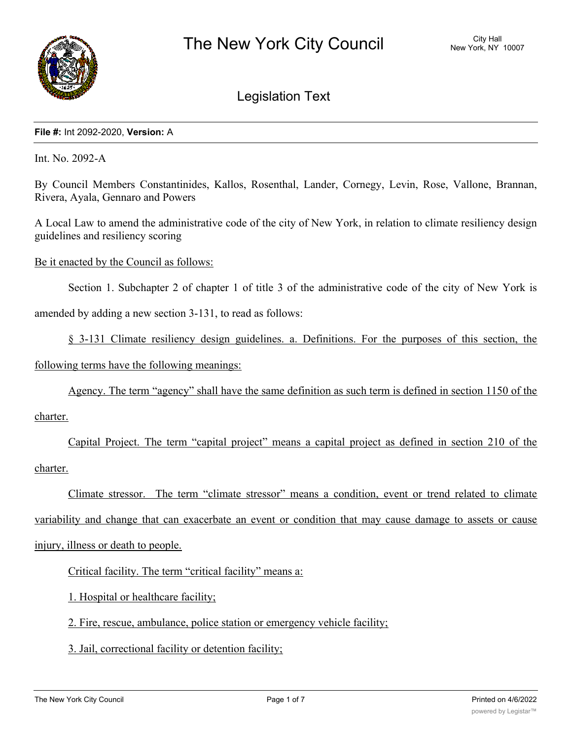

# Legislation Text

#### **File #:** Int 2092-2020, **Version:** A

Int. No. 2092-A

By Council Members Constantinides, Kallos, Rosenthal, Lander, Cornegy, Levin, Rose, Vallone, Brannan, Rivera, Ayala, Gennaro and Powers

A Local Law to amend the administrative code of the city of New York, in relation to climate resiliency design guidelines and resiliency scoring

Be it enacted by the Council as follows:

Section 1. Subchapter 2 of chapter 1 of title 3 of the administrative code of the city of New York is amended by adding a new section 3-131, to read as follows:

§ 3-131 Climate resiliency design guidelines. a. Definitions. For the purposes of this section, the

following terms have the following meanings:

Agency. The term "agency" shall have the same definition as such term is defined in section 1150 of the

charter.

Capital Project. The term "capital project" means a capital project as defined in section 210 of the charter.

Climate stressor. The term "climate stressor" means a condition, event or trend related to climate variability and change that can exacerbate an event or condition that may cause damage to assets or cause injury, illness or death to people.

Critical facility. The term "critical facility" means a:

1. Hospital or healthcare facility;

2. Fire, rescue, ambulance, police station or emergency vehicle facility;

3. Jail, correctional facility or detention facility;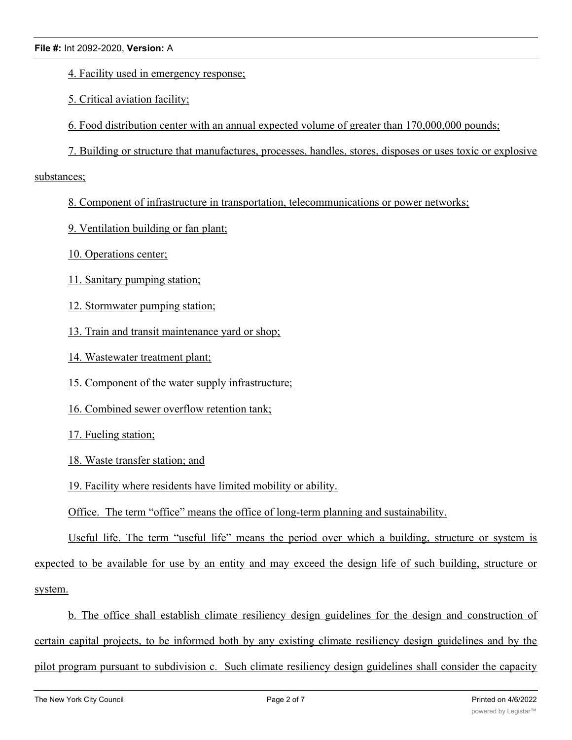- 4. Facility used in emergency response;
- 5. Critical aviation facility;
- 6. Food distribution center with an annual expected volume of greater than 170,000,000 pounds;
- 7. Building or structure that manufactures, processes, handles, stores, disposes or uses toxic or explosive

### substances;

- 8. Component of infrastructure in transportation, telecommunications or power networks;
- 9. Ventilation building or fan plant;
- 10. Operations center;
- 11. Sanitary pumping station;
- 12. Stormwater pumping station;
- 13. Train and transit maintenance yard or shop;
- 14. Wastewater treatment plant;
- 15. Component of the water supply infrastructure;
- 16. Combined sewer overflow retention tank;
- 17. Fueling station;
- 18. Waste transfer station; and
- 19. Facility where residents have limited mobility or ability.
- Office. The term "office" means the office of long-term planning and sustainability.

Useful life. The term "useful life" means the period over which a building, structure or system is expected to be available for use by an entity and may exceed the design life of such building, structure or system.

b. The office shall establish climate resiliency design guidelines for the design and construction of certain capital projects, to be informed both by any existing climate resiliency design guidelines and by the pilot program pursuant to subdivision c. Such climate resiliency design guidelines shall consider the capacity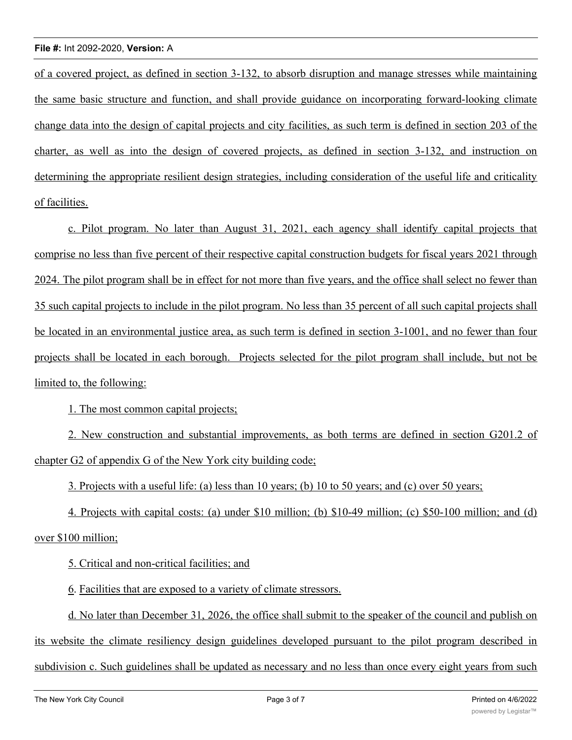#### **File #:** Int 2092-2020, **Version:** A

of a covered project, as defined in section 3-132, to absorb disruption and manage stresses while maintaining the same basic structure and function, and shall provide guidance on incorporating forward-looking climate change data into the design of capital projects and city facilities, as such term is defined in section 203 of the charter, as well as into the design of covered projects, as defined in section 3-132, and instruction on determining the appropriate resilient design strategies, including consideration of the useful life and criticality of facilities.

c. Pilot program. No later than August 31, 2021, each agency shall identify capital projects that comprise no less than five percent of their respective capital construction budgets for fiscal years 2021 through 2024. The pilot program shall be in effect for not more than five years, and the office shall select no fewer than 35 such capital projects to include in the pilot program. No less than 35 percent of all such capital projects shall be located in an environmental justice area, as such term is defined in section 3-1001, and no fewer than four projects shall be located in each borough. Projects selected for the pilot program shall include, but not be limited to, the following:

1. The most common capital projects;

2. New construction and substantial improvements, as both terms are defined in section G201.2 of chapter G2 of appendix G of the New York city building code;

3. Projects with a useful life: (a) less than 10 years; (b) 10 to 50 years; and (c) over 50 years;

4. Projects with capital costs: (a) under \$10 million; (b) \$10-49 million; (c) \$50-100 million; and (d) over \$100 million;

5. Critical and non-critical facilities; and

6. Facilities that are exposed to a variety of climate stressors.

d. No later than December 31, 2026, the office shall submit to the speaker of the council and publish on its website the climate resiliency design guidelines developed pursuant to the pilot program described in subdivision c. Such guidelines shall be updated as necessary and no less than once every eight years from such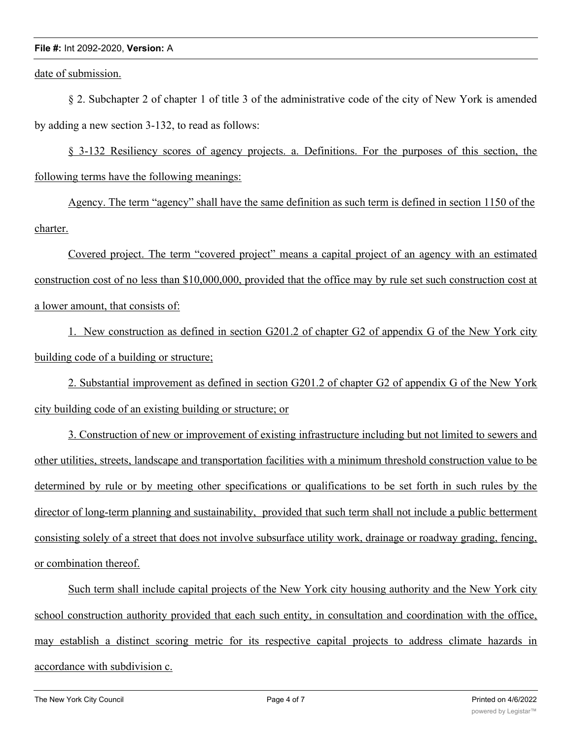#### **File #:** Int 2092-2020, **Version:** A

date of submission.

§ 2. Subchapter 2 of chapter 1 of title 3 of the administrative code of the city of New York is amended by adding a new section 3-132, to read as follows:

§ 3-132 Resiliency scores of agency projects. a. Definitions. For the purposes of this section, the following terms have the following meanings:

Agency. The term "agency" shall have the same definition as such term is defined in section 1150 of the charter.

Covered project. The term "covered project" means a capital project of an agency with an estimated construction cost of no less than \$10,000,000, provided that the office may by rule set such construction cost at a lower amount, that consists of:

1. New construction as defined in section G201.2 of chapter G2 of appendix G of the New York city building code of a building or structure;

2. Substantial improvement as defined in section G201.2 of chapter G2 of appendix G of the New York city building code of an existing building or structure; or

3. Construction of new or improvement of existing infrastructure including but not limited to sewers and other utilities, streets, landscape and transportation facilities with a minimum threshold construction value to be determined by rule or by meeting other specifications or qualifications to be set forth in such rules by the director of long-term planning and sustainability, provided that such term shall not include a public betterment consisting solely of a street that does not involve subsurface utility work, drainage or roadway grading, fencing, or combination thereof.

Such term shall include capital projects of the New York city housing authority and the New York city school construction authority provided that each such entity, in consultation and coordination with the office, may establish a distinct scoring metric for its respective capital projects to address climate hazards in accordance with subdivision c.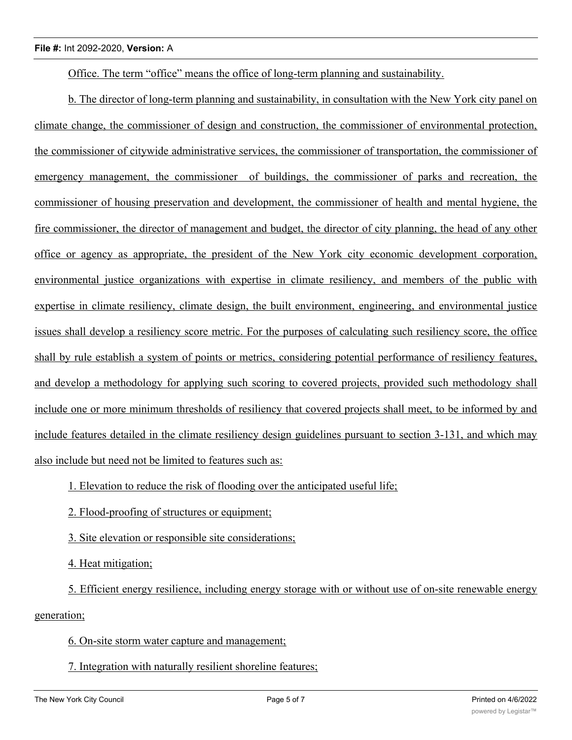#### **File #:** Int 2092-2020, **Version:** A

Office. The term "office" means the office of long-term planning and sustainability.

b. The director of long-term planning and sustainability, in consultation with the New York city panel on climate change, the commissioner of design and construction, the commissioner of environmental protection, the commissioner of citywide administrative services, the commissioner of transportation, the commissioner of emergency management, the commissioner of buildings, the commissioner of parks and recreation, the commissioner of housing preservation and development, the commissioner of health and mental hygiene, the fire commissioner, the director of management and budget, the director of city planning, the head of any other office or agency as appropriate, the president of the New York city economic development corporation, environmental justice organizations with expertise in climate resiliency, and members of the public with expertise in climate resiliency, climate design, the built environment, engineering, and environmental justice issues shall develop a resiliency score metric. For the purposes of calculating such resiliency score, the office shall by rule establish a system of points or metrics, considering potential performance of resiliency features, and develop a methodology for applying such scoring to covered projects, provided such methodology shall include one or more minimum thresholds of resiliency that covered projects shall meet, to be informed by and include features detailed in the climate resiliency design guidelines pursuant to section 3-131, and which may also include but need not be limited to features such as:

1. Elevation to reduce the risk of flooding over the anticipated useful life;

2. Flood-proofing of structures or equipment;

3. Site elevation or responsible site considerations;

4. Heat mitigation;

5. Efficient energy resilience, including energy storage with or without use of on-site renewable energy generation;

6. On-site storm water capture and management;

## 7. Integration with naturally resilient shoreline features;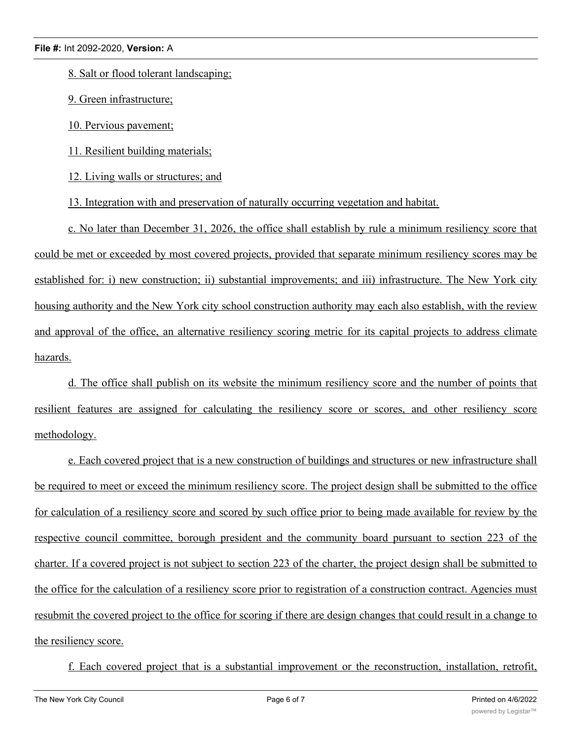8. Salt or flood tolerant landscaping;

9. Green infrastructure;

10. Pervious pavement;

11. Resilient building materials;

12. Living walls or structures; and

13. Integration with and preservation of naturally occurring vegetation and habitat.

c. No later than December 31, 2026, the office shall establish by rule a minimum resiliency score that could be met or exceeded by most covered projects, provided that separate minimum resiliency scores may be established for: i) new construction; ii) substantial improvements; and iii) infrastructure. The New York city housing authority and the New York city school construction authority may each also establish, with the review and approval of the office, an alternative resiliency scoring metric for its capital projects to address climate hazards.

d. The office shall publish on its website the minimum resiliency score and the number of points that resilient features are assigned for calculating the resiliency score or scores, and other resiliency score methodology.

e. Each covered project that is a new construction of buildings and structures or new infrastructure shall be required to meet or exceed the minimum resiliency score. The project design shall be submitted to the office for calculation of a resiliency score and scored by such office prior to being made available for review by the respective council committee, borough president and the community board pursuant to section 223 of the charter. If a covered project is not subject to section 223 of the charter, the project design shall be submitted to the office for the calculation of a resiliency score prior to registration of a construction contract. Agencies must resubmit the covered project to the office for scoring if there are design changes that could result in a change to the resiliency score.

f. Each covered project that is a substantial improvement or the reconstruction, installation, retrofit,